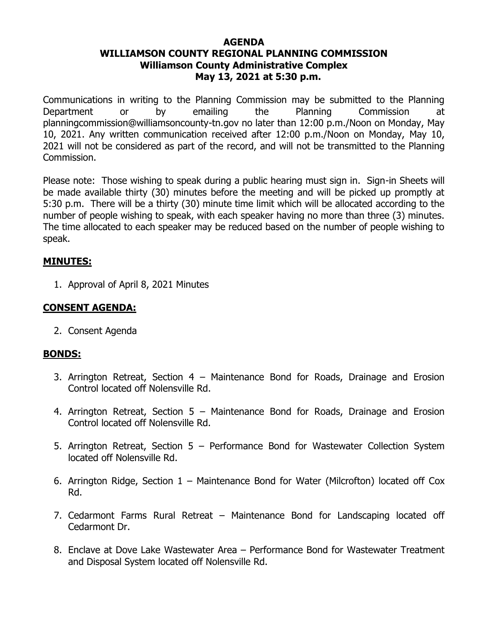#### **AGENDA WILLIAMSON COUNTY REGIONAL PLANNING COMMISSION Williamson County Administrative Complex May 13, 2021 at 5:30 p.m.**

Communications in writing to the Planning Commission may be submitted to the Planning Department or by emailing the Planning Commission at planningcommission@williamsoncounty-tn.gov no later than 12:00 p.m./Noon on Monday, May 10, 2021. Any written communication received after 12:00 p.m./Noon on Monday, May 10, 2021 will not be considered as part of the record, and will not be transmitted to the Planning Commission.

Please note: Those wishing to speak during a public hearing must sign in. Sign-in Sheets will be made available thirty (30) minutes before the meeting and will be picked up promptly at 5:30 p.m. There will be a thirty (30) minute time limit which will be allocated according to the number of people wishing to speak, with each speaker having no more than three (3) minutes. The time allocated to each speaker may be reduced based on the number of people wishing to speak.

#### **MINUTES:**

1. Approval of April 8, 2021 Minutes

# **CONSENT AGENDA:**

2. Consent Agenda

#### **BONDS:**

- 3. Arrington Retreat, Section 4 Maintenance Bond for Roads, Drainage and Erosion Control located off Nolensville Rd.
- 4. Arrington Retreat, Section 5 Maintenance Bond for Roads, Drainage and Erosion Control located off Nolensville Rd.
- 5. Arrington Retreat, Section 5 Performance Bond for Wastewater Collection System located off Nolensville Rd.
- 6. Arrington Ridge, Section 1 Maintenance Bond for Water (Milcrofton) located off Cox Rd.
- 7. Cedarmont Farms Rural Retreat Maintenance Bond for Landscaping located off Cedarmont Dr.
- 8. Enclave at Dove Lake Wastewater Area Performance Bond for Wastewater Treatment and Disposal System located off Nolensville Rd.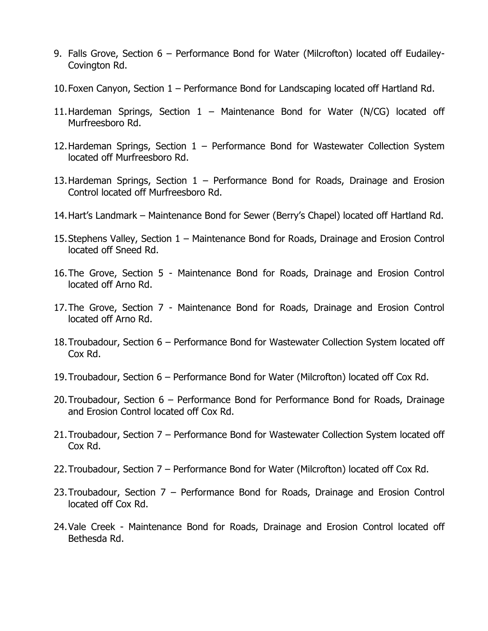- 9. Falls Grove, Section 6 Performance Bond for Water (Milcrofton) located off Eudailey-Covington Rd.
- 10.Foxen Canyon, Section 1 Performance Bond for Landscaping located off Hartland Rd.
- 11.Hardeman Springs, Section 1 Maintenance Bond for Water (N/CG) located off Murfreesboro Rd.
- 12.Hardeman Springs, Section 1 Performance Bond for Wastewater Collection System located off Murfreesboro Rd.
- 13.Hardeman Springs, Section 1 Performance Bond for Roads, Drainage and Erosion Control located off Murfreesboro Rd.
- 14.Hart's Landmark Maintenance Bond for Sewer (Berry's Chapel) located off Hartland Rd.
- 15.Stephens Valley, Section 1 Maintenance Bond for Roads, Drainage and Erosion Control located off Sneed Rd.
- 16.The Grove, Section 5 Maintenance Bond for Roads, Drainage and Erosion Control located off Arno Rd.
- 17.The Grove, Section 7 Maintenance Bond for Roads, Drainage and Erosion Control located off Arno Rd.
- 18.Troubadour, Section 6 Performance Bond for Wastewater Collection System located off Cox Rd.
- 19.Troubadour, Section 6 Performance Bond for Water (Milcrofton) located off Cox Rd.
- 20.Troubadour, Section 6 Performance Bond for Performance Bond for Roads, Drainage and Erosion Control located off Cox Rd.
- 21.Troubadour, Section 7 Performance Bond for Wastewater Collection System located off Cox Rd.
- 22.Troubadour, Section 7 Performance Bond for Water (Milcrofton) located off Cox Rd.
- 23.Troubadour, Section 7 Performance Bond for Roads, Drainage and Erosion Control located off Cox Rd.
- 24.Vale Creek Maintenance Bond for Roads, Drainage and Erosion Control located off Bethesda Rd.